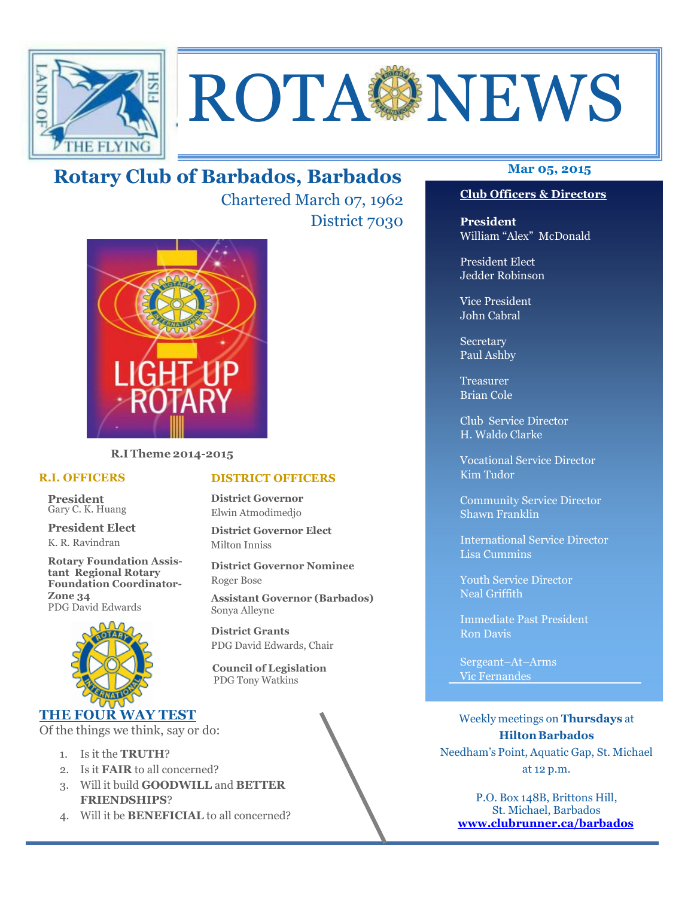

# ROTA NEWS

# **Mar 05, 2015 Rotary Club of Barbados, Barbados**

Chartered March 07, 1962 District 7030



**R.I Theme 2014-2015** 

#### **R.I. OFFICERS**

**President** Gary C. K. Huang

**President Elect** K. R. Ravindran

**Rotary Foundation Assistant Regional Rotary Foundation Coordinator-Zone 34**  PDG David Edwards



#### **THE FOUR WAY TEST**

Of the things we think, say or do:

- 1. Is it the **TRUTH**?
- 2. Is it **FAIR** to all concerned?
- 3. Will it build **GOODWILL** and **BETTER FRIENDSHIPS**?
- 4. Will it be **BENEFICIAL** to all concerned?

# **Club Officers & Directors**

**President** William "Alex" McDonald

President Elect Jedder Robinson

Vice President John Cabral

Secretary Paul Ashby

Treasurer Brian Cole

Club Service Director H. Waldo Clarke

Vocational Service Director Kim Tudor

Community Service Director Shawn Franklin

International Service Director Lisa Cummins

Youth Service Director Neal Griffith

Immediate Past President Ron Davis

Sergeant–At–Arms Vic Fernandes

Weekly meetings on **Thursdays** at **Hilton Barbados** Needham's Point, Aquatic Gap, St. Michael at 12 p.m.

P.O. Box 148B, Brittons Hill, St. Michael, Barbados **www.clubrunner.ca/barbados**

#### **DISTRICT OFFICERS**

**District Governor** Elwin Atmodimedjo

**District Governor Elect** Milton Inniss

**District Governor Nominee**  Roger Bose

**Assistant Governor (Barbados)** Sonya Alleyne

**District Grants**  PDG David Edwards, Chair

 **Council of Legislation**  PDG Tony Watkins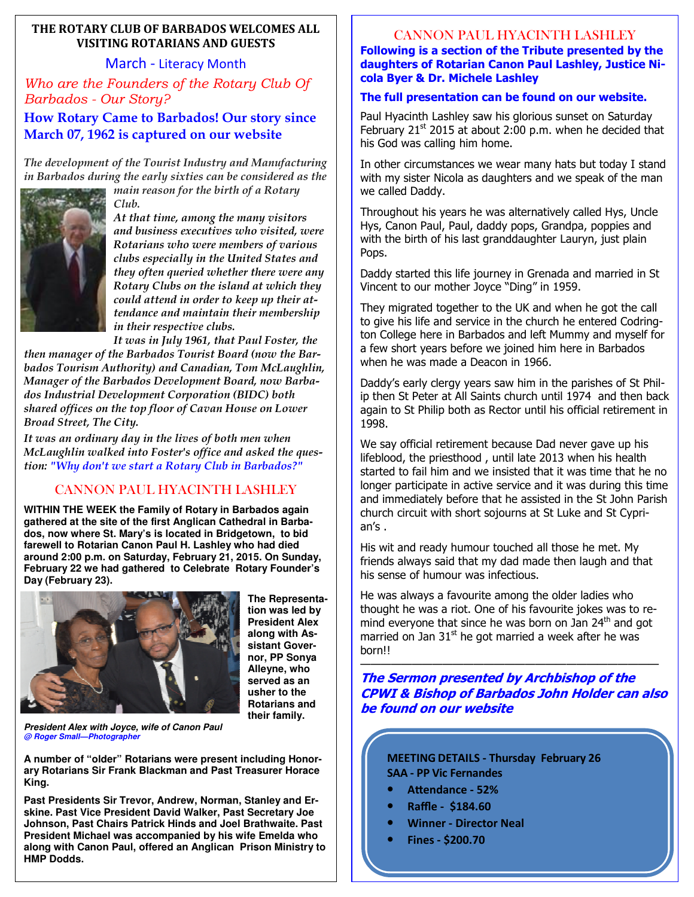#### **THE ROTARY CLUB OF BARBADOS WELCOMES ALL VISITING ROTARIANS AND GUESTS**

#### March - Literacy Month

*Who are the Founders of the Rotary Club Of Barbados - Our Story?* 

#### **How Rotary Came to Barbados! Our story since March 07, 1962 is captured on our website**

*The development of the Tourist Industry and Manufacturing in Barbados during the early sixties can be considered as the main reason for the birth of a Rotary* 



*Club. At that time, among the many visitors and business executives who visited, were Rotarians who were members of various clubs especially in the United States and they often queried whether there were any Rotary Clubs on the island at which they could attend in order to keep up their attendance and maintain their membership in their respective clubs.*

*It was in July 1961, that Paul Foster, the then manager of the Barbados Tourist Board (now the Barbados Tourism Authority) and Canadian, Tom McLaughlin, Manager of the Barbados Development Board, now Barbados Industrial Development Corporation (BIDC) both shared offices on the top floor of Cavan House on Lower Broad Street, The City.*

*It was an ordinary day in the lives of both men when McLaughlin walked into Foster's office and asked the question: "Why don't we start a Rotary Club in Barbados?"* 

### CANNON PAUL HYACINTH LASHLEY

**WITHIN THE WEEK the Family of Rotary in Barbados again gathered at the site of the first Anglican Cathedral in Barbados, now where St. Mary's is located in Bridgetown, to bid farewell to Rotarian Canon Paul H. Lashley who had died around 2:00 p.m. on Saturday, February 21, 2015. On Sunday, February 22 we had gathered to Celebrate Rotary Founder's Day (February 23).** 



**The Representation was led by President Alex along with Assistant Governor, PP Sonya Alleyne, who served as an usher to the Rotarians and their family.** 

**President Alex with Joyce, wife of Canon Paul @ Roger Small—Photographer** 

**A number of "older" Rotarians were present including Honorary Rotarians Sir Frank Blackman and Past Treasurer Horace King.** 

 **HMP Dodds. Past Presidents Sir Trevor, Andrew, Norman, Stanley and Erskine. Past Vice President David Walker, Past Secretary Joe Johnson, Past Chairs Patrick Hinds and Joel Brathwaite. Past President Michael was accompanied by his wife Emelda who along with Canon Paul, offered an Anglican Prison Ministry to** 

#### CANNON PAUL HYACINTH LASHLEY

**Following is a section of the Tribute presented by the daughters of Rotarian Canon Paul Lashley, Justice Nicola Byer & Dr. Michele Lashley** 

#### **The full presentation can be found on our website.**

Paul Hyacinth Lashley saw his glorious sunset on Saturday February  $21<sup>st</sup>$  2015 at about 2:00 p.m. when he decided that his God was calling him home.

In other circumstances we wear many hats but today I stand with my sister Nicola as daughters and we speak of the man we called Daddy.

Throughout his years he was alternatively called Hys, Uncle Hys, Canon Paul, Paul, daddy pops, Grandpa, poppies and with the birth of his last granddaughter Lauryn, just plain Pops.

Daddy started this life journey in Grenada and married in St Vincent to our mother Joyce "Ding" in 1959.

They migrated together to the UK and when he got the call to give his life and service in the church he entered Codrington College here in Barbados and left Mummy and myself for a few short years before we joined him here in Barbados when he was made a Deacon in 1966.

Daddy's early clergy years saw him in the parishes of St Philip then St Peter at All Saints church until 1974 and then back again to St Philip both as Rector until his official retirement in 1998.

We say official retirement because Dad never gave up his lifeblood, the priesthood , until late 2013 when his health started to fail him and we insisted that it was time that he no longer participate in active service and it was during this time and immediately before that he assisted in the St John Parish church circuit with short sojourns at St Luke and St Cyprian's .

His wit and ready humour touched all those he met. My friends always said that my dad made then laugh and that his sense of humour was infectious.

He was always a favourite among the older ladies who thought he was a riot. One of his favourite jokes was to remind everyone that since he was born on Jan 24<sup>th</sup> and got married on Jan  $31<sup>st</sup>$  he got married a week after he was born!!

#### ————————————————————————————— **The Sermon presented by Archbishop of the CPWI & Bishop of Barbados John Holder can also be found on our website**

**MEETING DETAILS - Thursday February 26 SAA - PP Vic Fernandes** 

- Attendance 52%
- **Raffle \$184.60**
- **Winner Director Neal**
- **Fines \$200.70**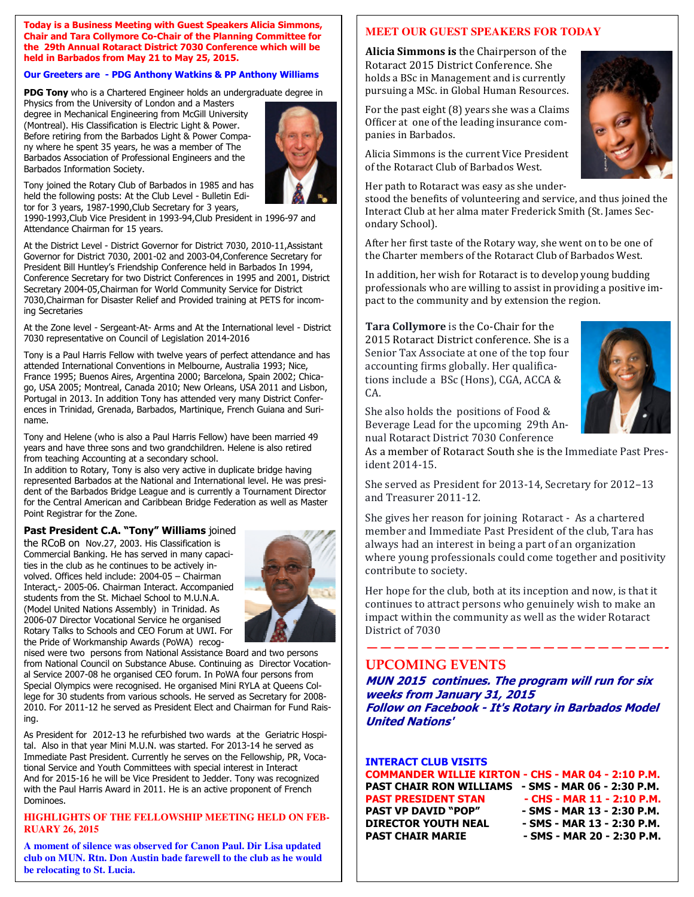#### **Today is a Business Meeting with Guest Speakers Alicia Simmons, Chair and Tara Collymore Co-Chair of the Planning Committee for the 29th Annual Rotaract District 7030 Conference which will be held in Barbados from May 21 to May 25, 2015.**

#### **Our Greeters are - PDG Anthony Watkins & PP Anthony Williams**

**PDG Tony** who is a Chartered Engineer holds an undergraduate degree in

Physics from the University of London and a Masters degree in Mechanical Engineering from McGill University (Montreal). His Classification is Electric Light & Power. Before retiring from the Barbados Light & Power Company where he spent 35 years, he was a member of The Barbados Association of Professional Engineers and the Barbados Information Society.



Tony joined the Rotary Club of Barbados in 1985 and has held the following posts: At the Club Level - Bulletin Editor for 3 years, 1987-1990,Club Secretary for 3 years,

1990-1993,Club Vice President in 1993-94,Club President in 1996-97 and Attendance Chairman for 15 years.

At the District Level - District Governor for District 7030, 2010-11,Assistant Governor for District 7030, 2001-02 and 2003-04,Conference Secretary for President Bill Huntley's Friendship Conference held in Barbados In 1994, Conference Secretary for two District Conferences in 1995 and 2001, District Secretary 2004-05,Chairman for World Community Service for District 7030,Chairman for Disaster Relief and Provided training at PETS for incoming Secretaries

At the Zone level - Sergeant-At- Arms and At the International level - District 7030 representative on Council of Legislation 2014-2016

Tony is a Paul Harris Fellow with twelve years of perfect attendance and has attended International Conventions in Melbourne, Australia 1993; Nice, France 1995; Buenos Aires, Argentina 2000; Barcelona, Spain 2002; Chicago, USA 2005; Montreal, Canada 2010; New Orleans, USA 2011 and Lisbon, Portugal in 2013. In addition Tony has attended very many District Conferences in Trinidad, Grenada, Barbados, Martinique, French Guiana and Suriname.

Tony and Helene (who is also a Paul Harris Fellow) have been married 49 years and have three sons and two grandchildren. Helene is also retired from teaching Accounting at a secondary school.

In addition to Rotary, Tony is also very active in duplicate bridge having represented Barbados at the National and International level. He was president of the Barbados Bridge League and is currently a Tournament Director for the Central American and Caribbean Bridge Federation as well as Master Point Registrar for the Zone.

#### **Past President C.A. "Tony" Williams** joined

the RCoB on Nov.27, 2003. His Classification is Commercial Banking. He has served in many capacities in the club as he continues to be actively involved. Offices held include: 2004-05 – Chairman Interact,- 2005-06. Chairman Interact. Accompanied students from the St. Michael School to M.U.N.A. (Model United Nations Assembly) in Trinidad. As 2006-07 Director Vocational Service he organised Rotary Talks to Schools and CEO Forum at UWI. For the Pride of Workmanship Awards (PoWA) recog-



nised were two persons from National Assistance Board and two persons from National Council on Substance Abuse. Continuing as Director Vocational Service 2007-08 he organised CEO forum. In PoWA four persons from Special Olympics were recognised. He organised Mini RYLA at Queens College for 30 students from various schools. He served as Secretary for 2008- 2010. For 2011-12 he served as President Elect and Chairman for Fund Raising.

As President for 2012-13 he refurbished two wards at the Geriatric Hospital. Also in that year Mini M.U.N. was started. For 2013-14 he served as Immediate Past President. Currently he serves on the Fellowship, PR, Vocational Service and Youth Committees with special interest in Interact And for 2015-16 he will be Vice President to Jedder. Tony was recognized with the Paul Harris Award in 2011. He is an active proponent of French Dominoes.

#### **HIGHLIGHTS OF THE FELLOWSHIP MEETING HELD ON FEB-RUARY 26, 2015**

 **club on MUN. Rtn. Don Austin bade farewell to the club as he would A moment of silence was observed for Canon Paul. Dir Lisa updated be relocating to St. Lucia.** 

#### **MEET OUR GUEST SPEAKERS FOR TODAY**

**Alicia Simmons is the Chairperson of the** Rotaract 2015 District Conference. She holds a BSc in Management and is currently pursuing a MSc. in Global Human Resources.

For the past eight  $(8)$  years she was a Claims Officer at one of the leading insurance companies in Barbados.

Alicia Simmons is the current Vice President of the Rotaract Club of Barbados West.



Her path to Rotaract was easy as she under-

stood the benefits of volunteering and service, and thus joined the Interact Club at her alma mater Frederick Smith (St. James Secondary School). 

After her first taste of the Rotary way, she went on to be one of the Charter members of the Rotaract Club of Barbados West.

In addition, her wish for Rotaract is to develop young budding professionals who are willing to assist in providing a positive impact to the community and by extension the region.

**Tara Collymore** is the Co-Chair for the 2015 Rotaract District conference. She is a Senior Tax Associate at one of the top four accounting firms globally. Her qualifications include a BSc (Hons), CGA, ACCA & CA. 



She also holds the positions of Food  $&$ Beverage Lead for the upcoming 29th Annual Rotaract District 7030 Conference

As a member of Rotaract South she is the Immediate Past President 2014-15. 

She served as President for 2013-14, Secretary for 2012-13 and Treasurer 2011-12.

She gives her reason for joining Rotaract - As a chartered member and Immediate Past President of the club, Tara has always had an interest in being a part of an organization where young professionals could come together and positivity contribute to society.

Her hope for the club, both at its inception and now, is that it continues to attract persons who genuinely wish to make an impact within the community as well as the wider Rotaract District of 7030

**——————————————————————-** 

#### **UPCOMING EVENTS**

**MUN 2015 continues. The program will run for six weeks from January 31, 2015 Follow on Facebook - It's Rotary in Barbados Model United Nations'** 

#### **INTERACT CLUB VISITS**

**COMMANDER WILLIE KIRTON - CHS - MAR 04 - 2:10 P.M.** 

**PAST CHAIR RON WILLIAMS - SMS - MAR 06 - 2:30 P.M.**  PAST PRESIDENT STAN - CHS - MAR 11 - 2:10 P.M.<br>PAST VP DAVID "POP" - SMS - MAR 13 - 2:30 P.M. PAST VP DAVID "POP" - SMS - MAR 13 - 2:30 P.M.<br>DIRECTOR YOUTH NEAL - SMS - MAR 13 - 2:30 P.M. **DIRECTOR YOUTH NEAL - SMS - MAR 13 - 2:30 P.M. PAST CHAIR MARIE - SMS - MAR 20 - 2:30 P.M.**